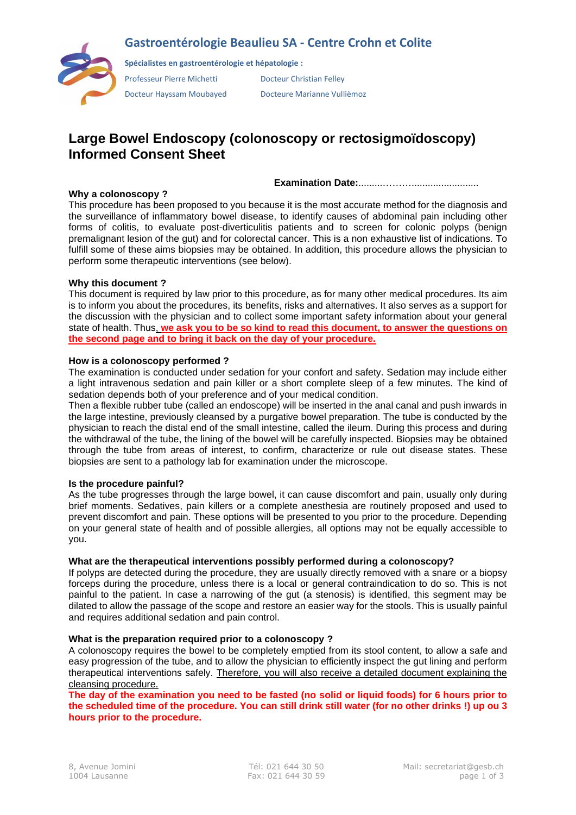### **Gastroentérologie Beaulieu SA - Centre Crohn et Colite**



**Spécialistes en gastroentérologie et hépatologie :**

Professeur Pierre Michetti Docteur Christian Felley

Docteur Hayssam Moubayed Docteure Marianne Vullièmoz

## **Large Bowel Endoscopy (colonoscopy or rectosigmoïdoscopy) Informed Consent Sheet**

**Examination Date:**.........……….........................

#### **Why a colonoscopy ?**

This procedure has been proposed to you because it is the most accurate method for the diagnosis and the surveillance of inflammatory bowel disease, to identify causes of abdominal pain including other forms of colitis, to evaluate post-diverticulitis patients and to screen for colonic polyps (benign premalignant lesion of the gut) and for colorectal cancer. This is a non exhaustive list of indications. To fulfill some of these aims biopsies may be obtained. In addition, this procedure allows the physician to perform some therapeutic interventions (see below).

#### **Why this document ?**

This document is required by law prior to this procedure, as for many other medical procedures. Its aim is to inform you about the procedures, its benefits, risks and alternatives. It also serves as a support for the discussion with the physician and to collect some important safety information about your general state of health. Thus, **we ask you to be so kind to read this document, to answer the questions on the second page and to bring it back on the day of your procedure.**

#### **How is a colonoscopy performed ?**

The examination is conducted under sedation for your confort and safety. Sedation may include either a light intravenous sedation and pain killer or a short complete sleep of a few minutes. The kind of sedation depends both of your preference and of your medical condition.

Then a flexible rubber tube (called an endoscope) will be inserted in the anal canal and push inwards in the large intestine, previously cleansed by a purgative bowel preparation. The tube is conducted by the physician to reach the distal end of the small intestine, called the ileum. During this process and during the withdrawal of the tube, the lining of the bowel will be carefully inspected. Biopsies may be obtained through the tube from areas of interest, to confirm, characterize or rule out disease states. These biopsies are sent to a pathology lab for examination under the microscope.

#### **Is the procedure painful?**

As the tube progresses through the large bowel, it can cause discomfort and pain, usually only during brief moments. Sedatives, pain killers or a complete anesthesia are routinely proposed and used to prevent discomfort and pain. These options will be presented to you prior to the procedure. Depending on your general state of health and of possible allergies, all options may not be equally accessible to you.

#### **What are the therapeutical interventions possibly performed during a colonoscopy?**

If polyps are detected during the procedure, they are usually directly removed with a snare or a biopsy forceps during the procedure, unless there is a local or general contraindication to do so. This is not painful to the patient. In case a narrowing of the gut (a stenosis) is identified, this segment may be dilated to allow the passage of the scope and restore an easier way for the stools. This is usually painful and requires additional sedation and pain control.

#### **What is the preparation required prior to a colonoscopy ?**

A colonoscopy requires the bowel to be completely emptied from its stool content, to allow a safe and easy progression of the tube, and to allow the physician to efficiently inspect the gut lining and perform therapeutical interventions safely. Therefore, you will also receive a detailed document explaining the cleansing procedure.

**The day of the examination you need to be fasted (no solid or liquid foods) for 6 hours prior to the scheduled time of the procedure. You can still drink still water (for no other drinks !) up ou 3 hours prior to the procedure.**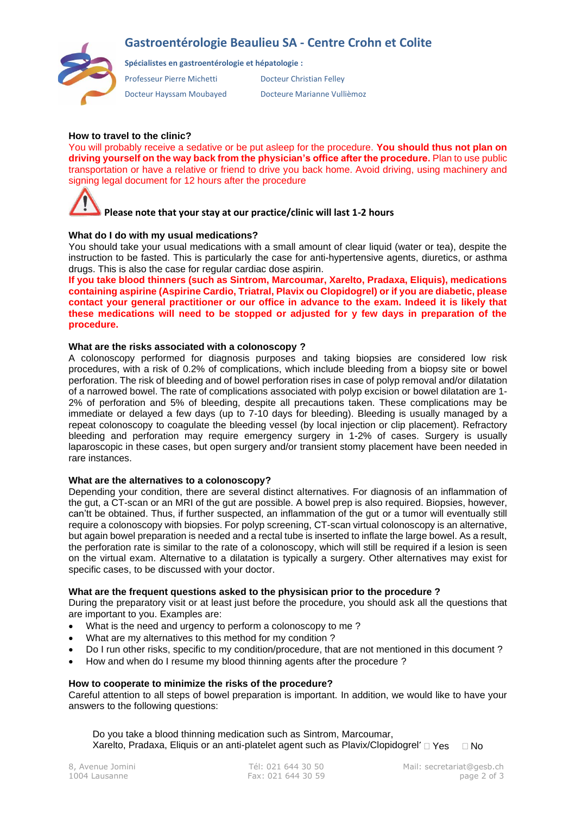## **Gastroentérologie Beaulieu SA - Centre Crohn et Colite**



**Spécialistes en gastroentérologie et hépatologie :**

Professeur Pierre Michetti Docteur Christian Felley

Docteur Hayssam Moubayed Docteure Marianne Vullièmoz

#### **How to travel to the clinic?**

You will probably receive a sedative or be put asleep for the procedure. **You should thus not plan on driving yourself on the way back from the physician's office after the procedure.** Plan to use public transportation or have a relative or friend to drive you back home. Avoid driving, using machinery and signing legal document for 12 hours after the procedure

# **Please note that your stay at our practice/clinic will last 1-2 hours**

#### **What do I do with my usual medications?**

You should take your usual medications with a small amount of clear liquid (water or tea), despite the instruction to be fasted. This is particularly the case for anti-hypertensive agents, diuretics, or asthma drugs. This is also the case for regular cardiac dose aspirin.

**If you take blood thinners (such as Sintrom, Marcoumar, Xarelto, Pradaxa, Eliquis), medications containing aspirine (Aspirine Cardio, Triatral, Plavix ou Clopidogrel) or if you are diabetic, please contact your general practitioner or our office in advance to the exam. Indeed it is likely that these medications will need to be stopped or adjusted for y few days in preparation of the procedure.**

#### **What are the risks associated with a colonoscopy ?**

A colonoscopy performed for diagnosis purposes and taking biopsies are considered low risk procedures, with a risk of 0.2% of complications, which include bleeding from a biopsy site or bowel perforation. The risk of bleeding and of bowel perforation rises in case of polyp removal and/or dilatation of a narrowed bowel. The rate of complications associated with polyp excision or bowel dilatation are 1- 2% of perforation and 5% of bleeding, despite all precautions taken. These complications may be immediate or delayed a few days (up to 7-10 days for bleeding). Bleeding is usually managed by a repeat colonoscopy to coagulate the bleeding vessel (by local injection or clip placement). Refractory bleeding and perforation may require emergency surgery in 1-2% of cases. Surgery is usually laparoscopic in these cases, but open surgery and/or transient stomy placement have been needed in rare instances.

#### **What are the alternatives to a colonoscopy?**

Depending your condition, there are several distinct alternatives. For diagnosis of an inflammation of the gut, a CT-scan or an MRI of the gut are possible. A bowel prep is also required. Biopsies, however, can'tt be obtained. Thus, if further suspected, an inflammation of the gut or a tumor will eventually still require a colonoscopy with biopsies. For polyp screening, CT-scan virtual colonoscopy is an alternative, but again bowel preparation is needed and a rectal tube is inserted to inflate the large bowel. As a result, the perforation rate is similar to the rate of a colonoscopy, which will still be required if a lesion is seen on the virtual exam. Alternative to a dilatation is typically a surgery. Other alternatives may exist for specific cases, to be discussed with your doctor.

#### **What are the frequent questions asked to the physisican prior to the procedure ?**

During the preparatory visit or at least just before the procedure, you should ask all the questions that are important to you. Examples are:

- What is the need and urgency to perform a colonoscopy to me ?
- What are my alternatives to this method for my condition ?
- Do I run other risks, specific to my condition/procedure, that are not mentioned in this document ?
- How and when do I resume my blood thinning agents after the procedure ?

#### **How to cooperate to minimize the risks of the procedure?**

Careful attention to all steps of bowel preparation is important. In addition, we would like to have your answers to the following questions:

Do you take a blood thinning medication such as Sintrom, Marcoumar, Xarelto, Pradaxa, Eliquis or an anti-platelet agent such as Plavix/Clopidogrel' 
I Yes 

I No